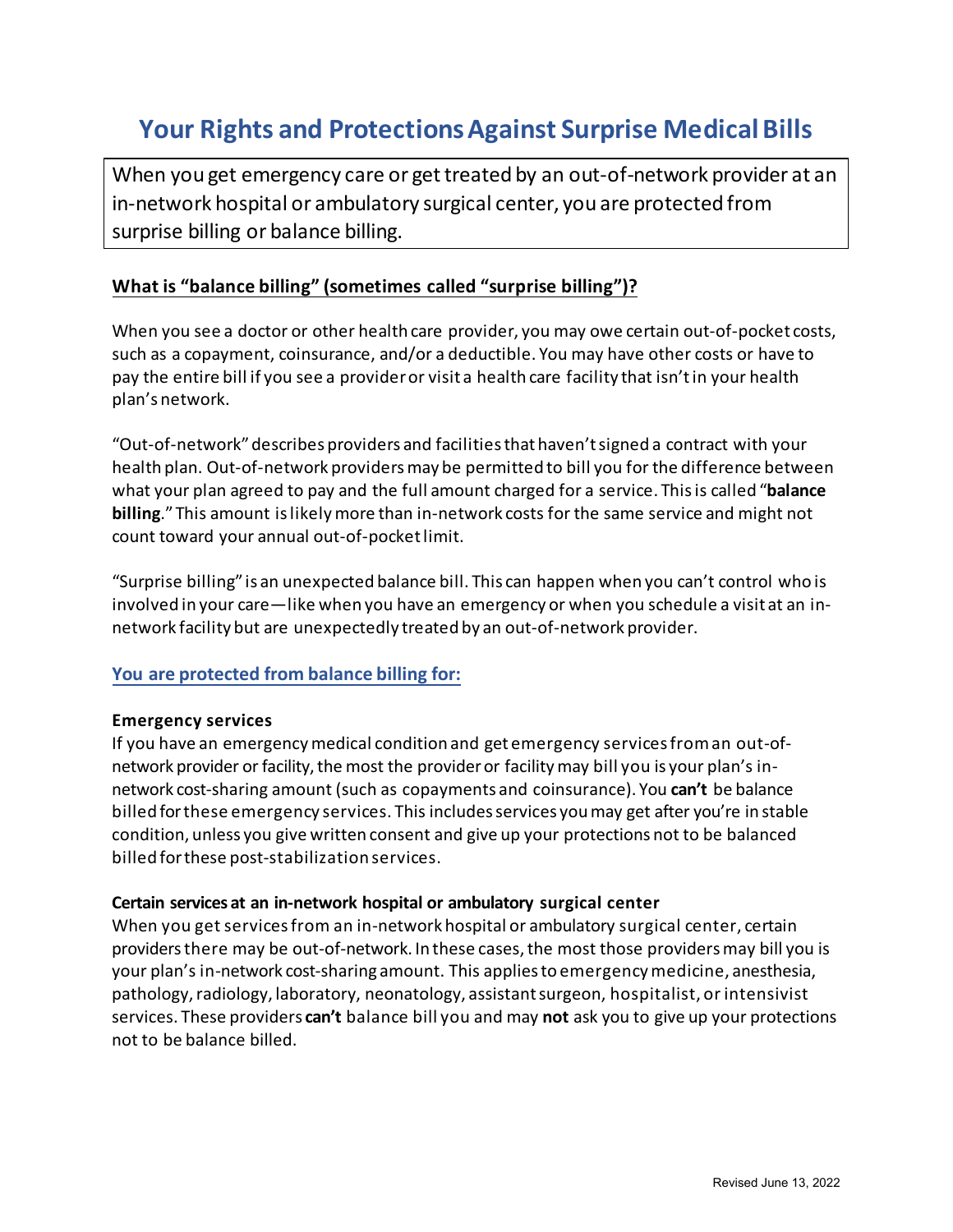# **Your Rights and Protections Against Surprise Medical Bills**

When you get emergency care or get treated by an out-of-network provider at an in-network hospital or ambulatory surgical center, you are protected from surprise billing or balance billing.

## **What is "balance billing" (sometimes called "surprise billing")?**

When you see a doctor or other health care provider, you may owe certain out-of-pocket costs, such as a copayment, coinsurance, and/or a deductible. You may have other costs or have to pay the entire bill if you see a provider or visit a health care facility that isn't in your health plan's network.

"Out-of-network" describes providers and facilities that haven't signed a contract with your health plan. Out-of-network providersmay be permitted to bill you for the difference between what your plan agreed to pay and the full amount charged for a service. This is called "**balance billing**."This amount is likely more than in-network costs for the same service and might not count toward your annual out-of-pocketlimit.

"Surprise billing" is an unexpected balance bill. This can happen when you can't control who is involved in your care—like when you have an emergency or when you schedule a visit at an innetwork facility but are unexpectedly treated by an out-of-network provider.

### **You are protected from balance billing for:**

#### **Emergency services**

If you have an emergency medical condition and get emergency services from an out-ofnetwork provider or facility, the most the provider or facility may bill you is your plan's innetwork cost-sharing amount (such as copayments and coinsurance). You **can't** be balance billed forthese emergency services. This includes services you may get after you're in stable condition, unless you give written consent and give up your protections not to be balanced billed for these post-stabilization services.

#### **Certain services at an in-network hospital or ambulatory surgical center**

When you get servicesfrom an in-network hospital or ambulatory surgical center, certain providers there may be out-of-network. In these cases, the most those providers may bill you is your plan's in-network cost-sharing amount. This applies to emergency medicine, anesthesia, pathology, radiology, laboratory, neonatology, assistant surgeon, hospitalist, or intensivist services. These providers **can't** balance bill you and may **not** ask you to give up your protections not to be balance billed.